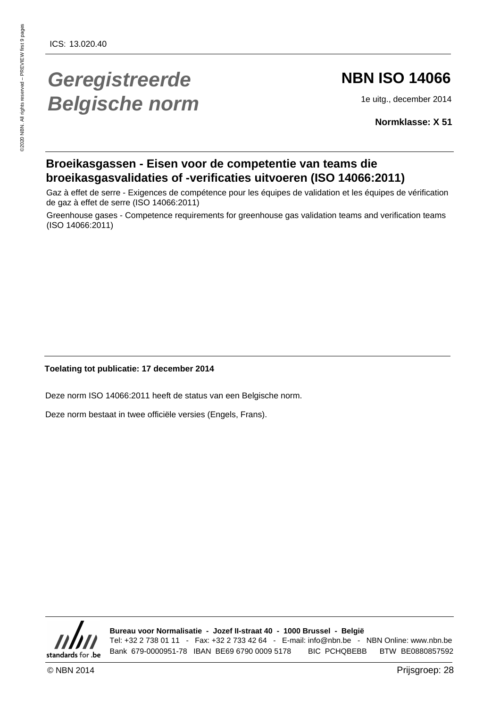# **Geregistreerde Belgische norm**

# **NBN ISO 14066**

1e uitg., december 2014

**Normklasse: X 51**

## **Broeikasgassen - Eisen voor de competentie van teams die broeikasgasvalidaties of -verificaties uitvoeren (ISO 14066:2011)**

Gaz à effet de serre - Exigences de compétence pour les équipes de validation et les équipes de vérification de gaz à effet de serre (ISO 14066:2011)

Greenhouse gases - Competence requirements for greenhouse gas validation teams and verification teams (ISO 14066:2011)

### **Toelating tot publicatie: 17 december 2014**

Deze norm ISO 14066:2011 heeft de status van een Belgische norm.

Deze norm bestaat in twee officiële versies (Engels, Frans).



**Bureau voor Normalisatie - Jozef II-straat 40 - 1000 Brussel - België** Tel: +32 2 738 01 11 - Fax: +32 2 733 42 64 - E-mail: info@nbn.be - NBN Online: www.nbn.be Bank 679-0000951-78 IBAN BE69 6790 0009 5178 BIC PCHQBEBB BTW BE0880857592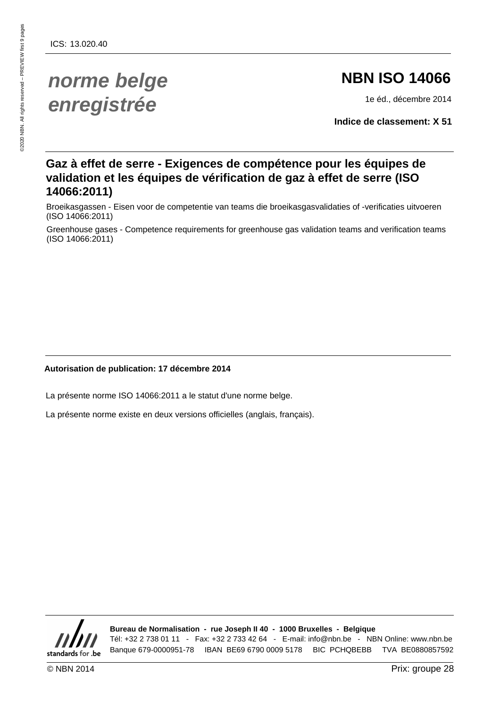# **norme belge enregistrée**

# **NBN ISO 14066**

1e éd., décembre 2014

**Indice de classement: X 51**

# **Gaz à effet de serre - Exigences de compétence pour les équipes de validation et les équipes de vérification de gaz à effet de serre (ISO 14066:2011)**

Broeikasgassen - Eisen voor de competentie van teams die broeikasgasvalidaties of -verificaties uitvoeren (ISO 14066:2011)

Greenhouse gases - Competence requirements for greenhouse gas validation teams and verification teams (ISO 14066:2011)

### **Autorisation de publication: 17 décembre 2014**

La présente norme ISO 14066:2011 a le statut d'une norme belge.

La présente norme existe en deux versions officielles (anglais, français).



**Bureau de Normalisation - rue Joseph II 40 - 1000 Bruxelles - Belgique** Tél: +32 2 738 01 11 - Fax: +32 2 733 42 64 - E-mail: info@nbn.be - NBN Online: www.nbn.be Banque 679-0000951-78 IBAN BE69 6790 0009 5178 BIC PCHQBEBB TVA BE0880857592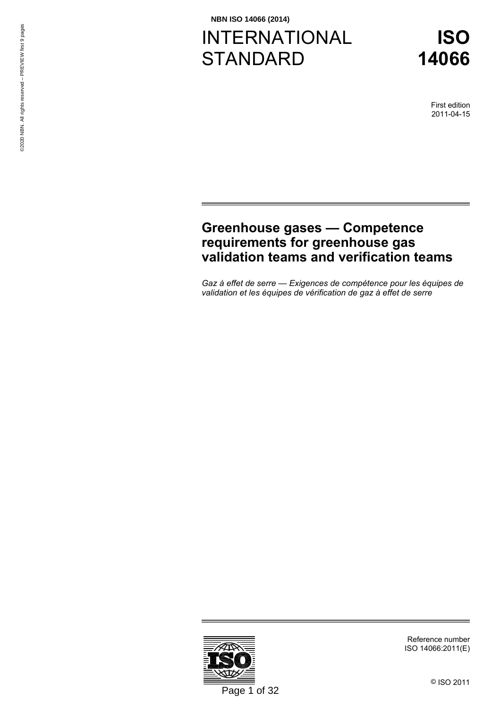# INTERNATIONAL **STANDARD**



First edition 2011-04-15

# **[Greenhouse gases — Competence](#page-8-0)  [requirements for greenhouse gas](#page-8-0)  [validation teams and verification teams](#page-8-0)**

*[Gaz à effet de serre — Exigences de compétence pour les équipes de](#page-8-0)  [validation et les équipes de vérification de gaz à effet de serre](#page-8-0)* 



Reference number ISO 14066:2011(E)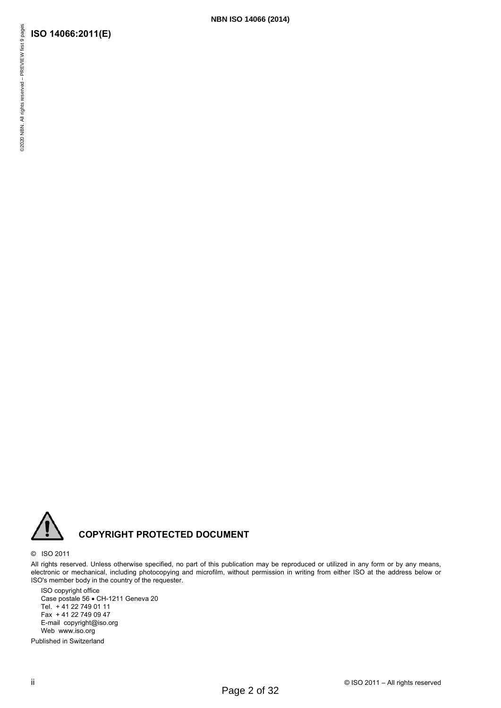

## **COPYRIGHT PROTECTED DOCUMENT**

#### © ISO 2011

All rights reserved. Unless otherwise specified, no part of this publication may be reproduced or utilized in any form or by any means, electronic or mechanical, including photocopying and microfilm, without permission in writing from either ISO at the address below or ISO's member body in the country of the requester.

**NBN ISO 14066 (2014)**

ISO copyright office Case postale 56 • CH-1211 Geneva 20 Tel. + 41 22 749 01 11 Fax + 41 22 749 09 47 E-mail copyright@iso.org Web www.iso.org

Published in Switzerland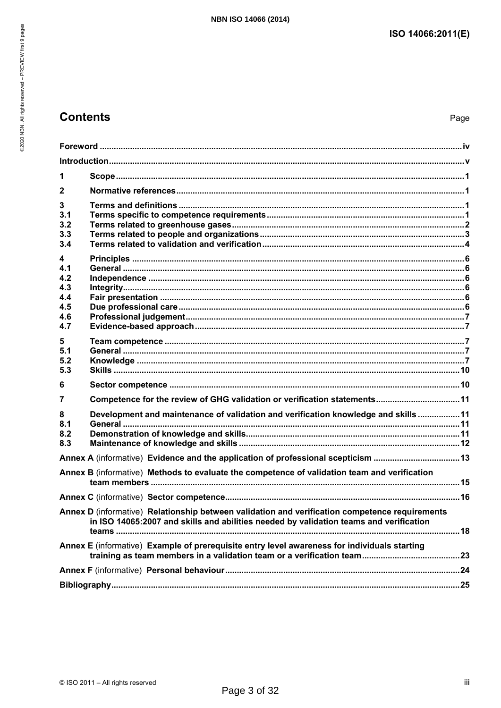# **Contents**

| 1                                                  |                                                                                                                                                                                          |  |
|----------------------------------------------------|------------------------------------------------------------------------------------------------------------------------------------------------------------------------------------------|--|
| $\mathbf{2}$                                       |                                                                                                                                                                                          |  |
| 3<br>3.1<br>3.2<br>3.3<br>3.4                      |                                                                                                                                                                                          |  |
| 4<br>4.1<br>4.2<br>4.3<br>4.4<br>4.5<br>4.6<br>4.7 |                                                                                                                                                                                          |  |
| 5<br>5.1<br>5.2<br>5.3                             |                                                                                                                                                                                          |  |
| 6                                                  |                                                                                                                                                                                          |  |
| 7                                                  | Competence for the review of GHG validation or verification statements11                                                                                                                 |  |
| 8<br>8.1<br>8.2<br>8.3                             | Development and maintenance of validation and verification knowledge and skills11                                                                                                        |  |
|                                                    | Annex A (informative) Evidence and the application of professional scepticism 13                                                                                                         |  |
|                                                    | Annex B (informative) Methods to evaluate the competence of validation team and verification                                                                                             |  |
|                                                    |                                                                                                                                                                                          |  |
|                                                    | Annex D (informative) Relationship between validation and verification competence requirements<br>in ISO 14065:2007 and skills and abilities needed by validation teams and verification |  |
|                                                    | Annex E (informative) Example of prerequisite entry level awareness for individuals starting                                                                                             |  |
|                                                    |                                                                                                                                                                                          |  |
|                                                    |                                                                                                                                                                                          |  |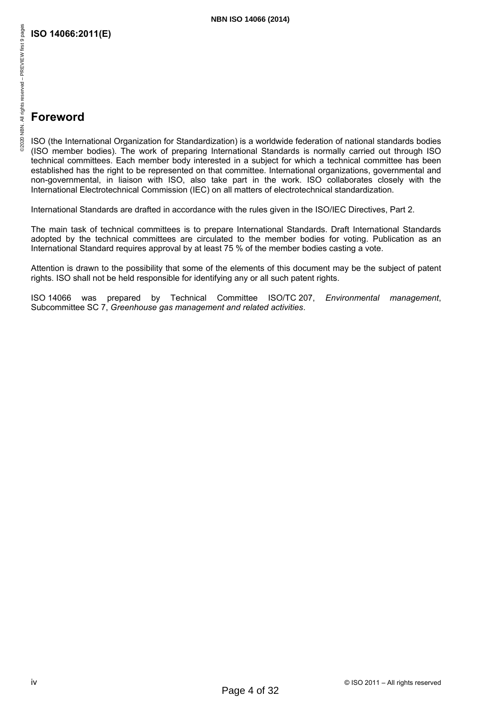# <span id="page-5-0"></span>**Foreword**

ISO (the International Organization for Standardization) is a worldwide federation of national standards bodies (ISO member bodies). The work of preparing International Standards is normally carried out through ISO technical committees. Each member body interested in a subject for which a technical committee has been established has the right to be represented on that committee. International organizations, governmental and non-governmental, in liaison with ISO, also take part in the work. ISO collaborates closely with the International Electrotechnical Commission (IEC) on all matters of electrotechnical standardization.

International Standards are drafted in accordance with the rules given in the ISO/IEC Directives, Part 2.

The main task of technical committees is to prepare International Standards. Draft International Standards adopted by the technical committees are circulated to the member bodies for voting. Publication as an International Standard requires approval by at least 75 % of the member bodies casting a vote.

Attention is drawn to the possibility that some of the elements of this document may be the subject of patent rights. ISO shall not be held responsible for identifying any or all such patent rights.

ISO 14066 was prepared by Technical Committee ISO/TC 207, *Environmental management*, Subcommittee SC 7, *Greenhouse gas management and related activities*.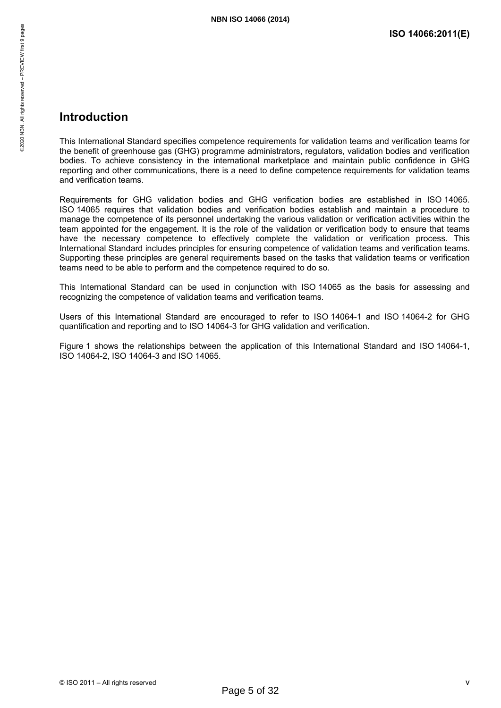# 52020 NBN. All rights reserved - PREVIEW first 9 pages ©2020 NBN. All rights reserved – PREVIEW first 9 pages

## <span id="page-6-0"></span>**Introduction**

This International Standard specifies competence requirements for validation teams and verification teams for the benefit of greenhouse gas (GHG) programme administrators, regulators, validation bodies and verification bodies. To achieve consistency in the international marketplace and maintain public confidence in GHG reporting and other communications, there is a need to define competence requirements for validation teams and verification teams.

Requirements for GHG validation bodies and GHG verification bodies are established in ISO 14065. ISO 14065 requires that validation bodies and verification bodies establish and maintain a procedure to manage the competence of its personnel undertaking the various validation or verification activities within the team appointed for the engagement. It is the role of the validation or verification body to ensure that teams have the necessary competence to effectively complete the validation or verification process. This International Standard includes principles for ensuring competence of validation teams and verification teams. Supporting these principles are general requirements based on the tasks that validation teams or verification teams need to be able to perform and the competence required to do so.

This International Standard can be used in conjunction with ISO 14065 as the basis for assessing and recognizing the competence of validation teams and verification teams.

Users of this International Standard are encouraged to refer to ISO 14064-1 and ISO 14064-2 for GHG quantification and reporting and to ISO 14064-3 for GHG validation and verification.

Figure 1 shows the relationships between the application of this International Standard and ISO 14064-1, ISO 14064-2, ISO 14064-3 and ISO 14065.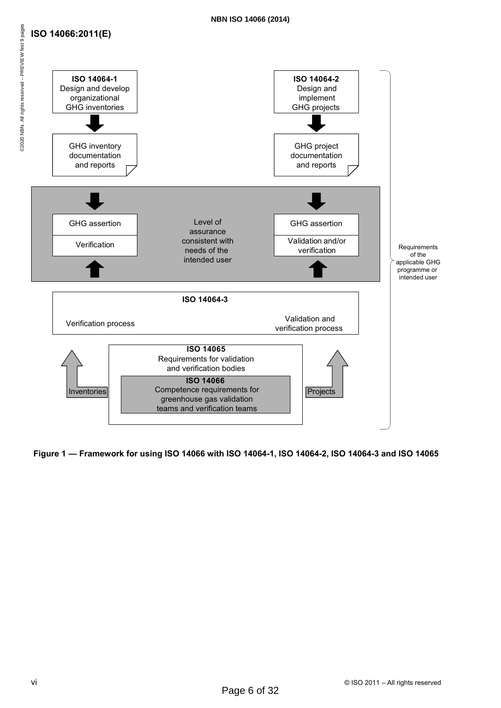## **ISO 14066:2011(E)**





**Figure 1 — Framework for using ISO 14066 with ISO 14064-1, ISO 14064-2, ISO 14064-3 and ISO 14065**